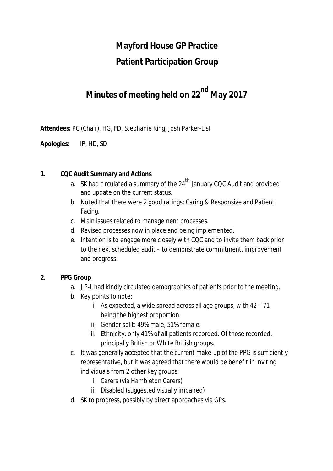# **Mayford House GP Practice**

## **Patient Participation Group**

# **Minutes of meeting held on 22nd May 2017**

**Attendees:** PC (Chair), HG, FD, Stephanie King, Josh Parker-List

**Apologies:** IP, HD, SD

#### **1. CQC Audit Summary and Actions**

- a. SK had circulated a summary of the  $24<sup>th</sup>$  January CQC Audit and provided and update on the current status.
- b. Noted that there were 2 good ratings: Caring & Responsive and Patient Facing.
- c. Main issues related to management processes.
- d. Revised processes now in place and being implemented.
- e. Intention is to engage more closely with CQC and to invite them back prior to the next scheduled audit – to demonstrate commitment, improvement and progress.

#### **2. PPG Group**

- a. J P-L had kindly circulated demographics of patients prior to the meeting.
- b. Key points to note:
	- i. As expected, a wide spread across all age groups, with 42 71 being the highest proportion.
	- ii. Gender split: 49% male, 51% female.
	- iii. Ethnicity: only 41% of all patients recorded. Of those recorded, principally British or White British groups.
- c. It was generally accepted that the current make-up of the PPG is sufficiently representative, but it was agreed that there would be benefit in inviting individuals from 2 other key groups:
	- i. Carers (via Hambleton Carers)
	- ii. Disabled (suggested visually impaired)
- d. SK to progress, possibly by direct approaches via GPs.